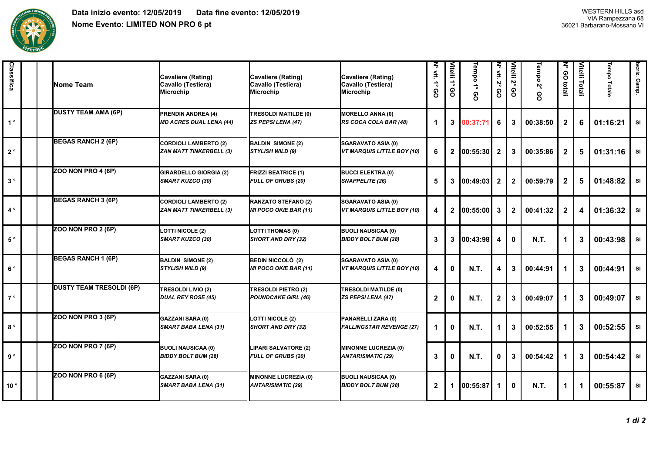

| Classifica   | Nome Team                       | Cavaliere (Rating)<br>Cavallo (Testiera)<br>Microchip          | Cavaliere (Rating)<br>Cavallo (Testiera)<br>Microchip   | Cavaliere (Rating)<br>Cavallo (Testiera)<br>Microchip          | N° vit.<br>$\vec{\cdot}$<br>၉ | Vitelli 1° <sub>'</sub><br>စ္ပ | Tempo 1°<br>စ္ပ | N° vit.<br>Z°<br>80 | Vitelli 2°<br>၉ | Tempo 2°<br>80 | ζ<br>80<br>totali | Vitelli Totali | Tempo<br>Totale | scriz. Camp. |
|--------------|---------------------------------|----------------------------------------------------------------|---------------------------------------------------------|----------------------------------------------------------------|-------------------------------|--------------------------------|-----------------|---------------------|-----------------|----------------|-------------------|----------------|-----------------|--------------|
| $1^{\circ}$  | <b>DUSTY TEAM AMA (6P)</b>      | <b>PRENDIN ANDREA (4)</b><br><b>MD ACRES DUAL LENA (44)</b>    | TRESOLDI MATILDE (0)<br>ZS PEPSI LENA (47)              | <b>MORELLO ANNA (0)</b><br>RS COCA COLA BAR (48)               | $\blacktriangleleft$          | $\mathbf{3}$                   | 00:37:71        | 6                   | 3               | 00:38:50       | $\mathbf{2}$      | 6              | 01:16:21        | <b>SI</b>    |
| $2^{\circ}$  | <b>BEGAS RANCH 2 (6P)</b>       | <b>CORDIOLI LAMBERTO (2)</b><br><b>ZAN MATT TINKERBELL (3)</b> | <b>BALDIN SIMONE (2)</b><br>STYLISH WILD (9)            | SGARAVATO ASIA (0)<br>VT MARQUIS LITTLE BOY (10)               | 6                             | $\overline{2}$                 | 00:55:30        | $\mathbf{2}$        | 3               | 00:35:86       | $\mathbf{2}$      | 5              | 01:31:16        | SI           |
| $3^{\circ}$  | ZOO NON PRO 4 (6P)              | <b>GIRARDELLO GIORGIA (2)</b><br>SMART KUZCO (30)              | FRIZZI BEATRICE (1)<br><b>FULL OF GRUBS (20)</b>        | <b>BUCCI ELEKTRA (0)</b><br>SNAPPELITE (26)                    | 5                             | 3                              | 100:49:03       | $\mathbf{2}$        | $\mathbf{2}$    | 00:59:79       | 2                 | 5              | 01:48:82        | SI           |
| $4^{\circ}$  | <b>BEGAS RANCH 3 (6P)</b>       | <b>CORDIOLI LAMBERTO (2)</b><br><b>ZAN MATT TINKERBELL (3)</b> | RANZATO STEFANO (2)<br><b>MI POCO OKIE BAR (11)</b>     | <b>SGARAVATO ASIA (0)</b><br><b>VT MARQUIS LITTLE BOY (10)</b> | $\overline{\mathbf{4}}$       | $\overline{2}$                 | 00:55:00        | 3                   | $\mathbf{2}$    | 00:41:32       | $\mathbf{2}$      | 4              | 01:36:32        | SI           |
| $5^{\circ}$  | ZOO NON PRO 2 (6P)              | <b>LOTTI NICOLE (2)</b><br><b>SMART KUZCO (30)</b>             | <b>LOTTI THOMAS (0)</b><br><b>SHORT AND DRY (32)</b>    | <b>BUOLI NAUSICAA (0)</b><br><b>BIDDY BOLT BUM (28)</b>        | $\mathbf{3}$                  | 3                              | 100:43:98       | 4                   | 0               | <b>N.T.</b>    | 1                 | 3              | 00:43:98        | <b>SI</b>    |
| $6^{\circ}$  | <b>BEGAS RANCH 1 (6P)</b>       | <b>BALDIN SIMONE (2)</b><br>STYLISH WILD (9)                   | BEDIN NICCOLÒ (2)<br><b>MI POCO OKIE BAR (11)</b>       | <b>SGARAVATO ASIA (0)</b><br>VT MARQUIS LITTLE BOY (10)        | $\overline{4}$                | $\mathbf{0}$                   | <b>N.T.</b>     | 4                   | 3               | 00:44:91       | 1                 | 3              | 00:44:91        | <b>SI</b>    |
| $7^{\circ}$  | <b>DUSTY TEAM TRESOLDI (6P)</b> | TRESOLDI LIVIO (2)<br><b>DUAL REY ROSE (45)</b>                | <b>TRESOLDI PIETRO (2)</b><br>POUNDCAKE GIRL (46)       | TRESOLDI MATILDE (0)<br><b>ZS PEPSI LENA (47)</b>              | $\overline{2}$                | 0                              | <b>N.T.</b>     | $\mathbf{2}$        | 3               | 00:49:07       | 1                 | 3              | 00:49:07        | SI           |
| $8^{\circ}$  | ZOO NON PRO 3 (6P)              | GAZZANI SARA (0)<br><b>SMART BABA LENA (31)</b>                | <b>LOTTI NICOLE (2)</b><br>SHORT AND DRY (32)           | PANARELLI ZARA (0)<br><b>FALLINGSTAR REVENGE (27)</b>          | $\blacktriangleleft$          | $\mathbf 0$                    | <b>N.T.</b>     | 1                   | 3               | 00:52:55       | 1                 | 3              | 00:52:55        | SI           |
| 9°           | ZOO NON PRO 7 (6P)              | <b>BUOLI NAUSICAA (0)</b><br><b>BIDDY BOLT BUM (28)</b>        | <b>LIPARI SALVATORE (2)</b><br>FULL OF GRUBS (20)       | <b>MINONNE LUCREZIA (0)</b><br><b>ANTARISMATIC (29)</b>        | 3                             | 0                              | <b>N.T.</b>     | 0                   | 3               | 00:54:42       | 1                 | 3              | 00:54:42        | SI           |
| $10^{\circ}$ | ZOO NON PRO 6 (6P)              | <b>GAZZANI SARA (0)</b><br><b>SMART BABA LENA (31)</b>         | <b>MINONNE LUCREZIA (0)</b><br><b>ANTARISMATIC (29)</b> | <b>BUOLI NAUSICAA (0)</b><br><b>BIDDY BOLT BUM (28)</b>        | $\mathbf{2}$                  | 1                              | 00:55:87        | 1                   | 0               | N.T.           | 1                 |                | 00:55:87        | SI           |